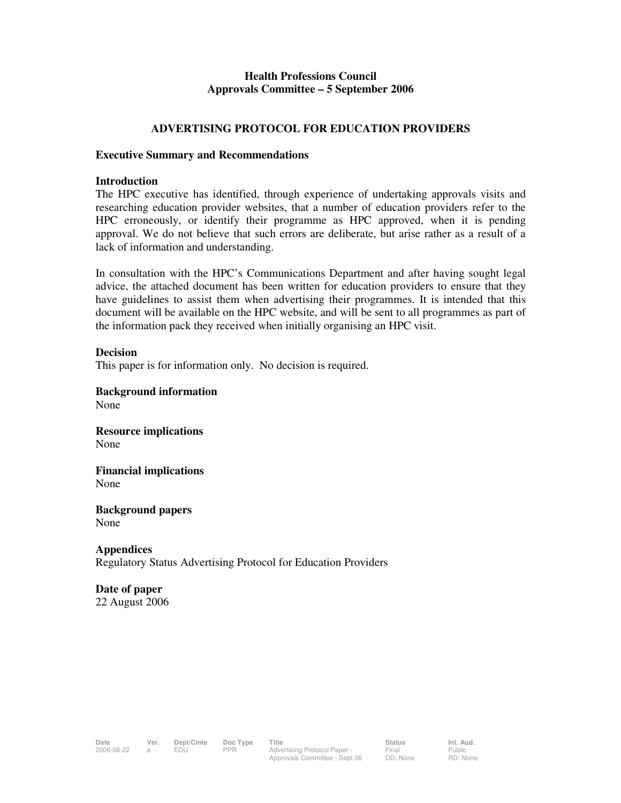## **Health Professions Council Approvals Committee – 5 September 2006**

## **ADVERTISING PROTOCOL FOR EDUCATION PROVIDERS**

### **Executive Summary and Recommendations**

### **Introduction**

The HPC executive has identified, through experience of undertaking approvals visits and researching education provider websites, that a number of education providers refer to the HPC erroneously, or identify their programme as HPC approved, when it is pending approval. We do not believe that such errors are deliberate, but arise rather as a result of a lack of information and understanding.

In consultation with the HPC's Communications Department and after having sought legal advice, the attached document has been written for education providers to ensure that they have guidelines to assist them when advertising their programmes. It is intended that this document will be available on the HPC website, and will be sent to all programmes as part of the information pack they received when initially organising an HPC visit.

## **Decision**

This paper is for information only. No decision is required.

**Background information**  None

**Resource implications**  None

**Financial implications**  None

**Background papers**  None

**Appendices**  Regulatory Status Advertising Protocol for Education Providers

### **Date of paper**  22 August 2006

Public RD: None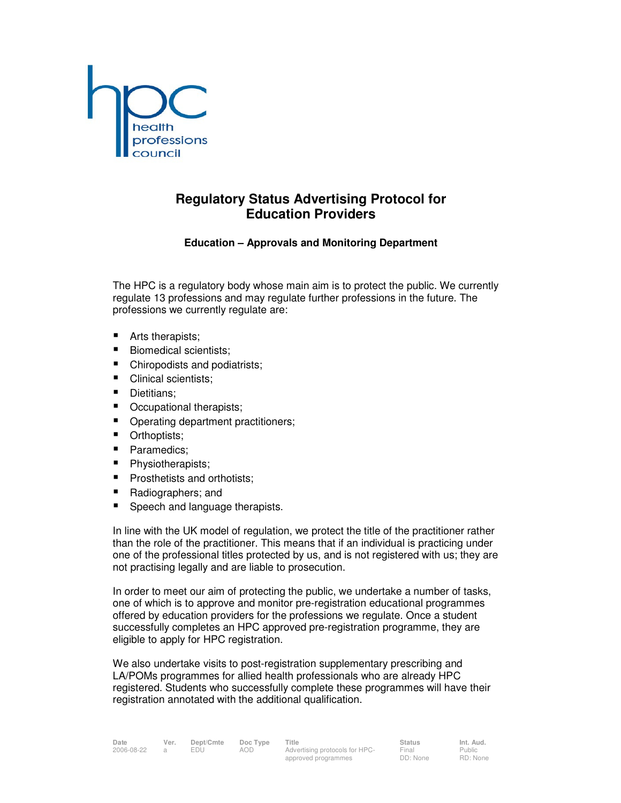

# **Regulatory Status Advertising Protocol for Education Providers**

## **Education – Approvals and Monitoring Department**

The HPC is a regulatory body whose main aim is to protect the public. We currently regulate 13 professions and may regulate further professions in the future. The professions we currently regulate are:

- Arts therapists;
- Biomedical scientists;
- Chiropodists and podiatrists;
- Clinical scientists;
- Dietitians:
- Occupational therapists;
- Operating department practitioners;
- **•** Orthoptists;
- Paramedics;
- Physiotherapists;
- **Prosthetists and orthotists;**
- Radiographers; and
- Speech and language therapists.

In line with the UK model of regulation, we protect the title of the practitioner rather than the role of the practitioner. This means that if an individual is practicing under one of the professional titles protected by us, and is not registered with us; they are not practising legally and are liable to prosecution.

In order to meet our aim of protecting the public, we undertake a number of tasks, one of which is to approve and monitor pre-registration educational programmes offered by education providers for the professions we regulate. Once a student successfully completes an HPC approved pre-registration programme, they are eligible to apply for HPC registration.

We also undertake visits to post-registration supplementary prescribing and LA/POMs programmes for allied health professionals who are already HPC registered. Students who successfully complete these programmes will have their registration annotated with the additional qualification.

| ate      | Ver. | ľ |  |
|----------|------|---|--|
| 06-08-22 |      |   |  |

Final DD: None

Public RD: None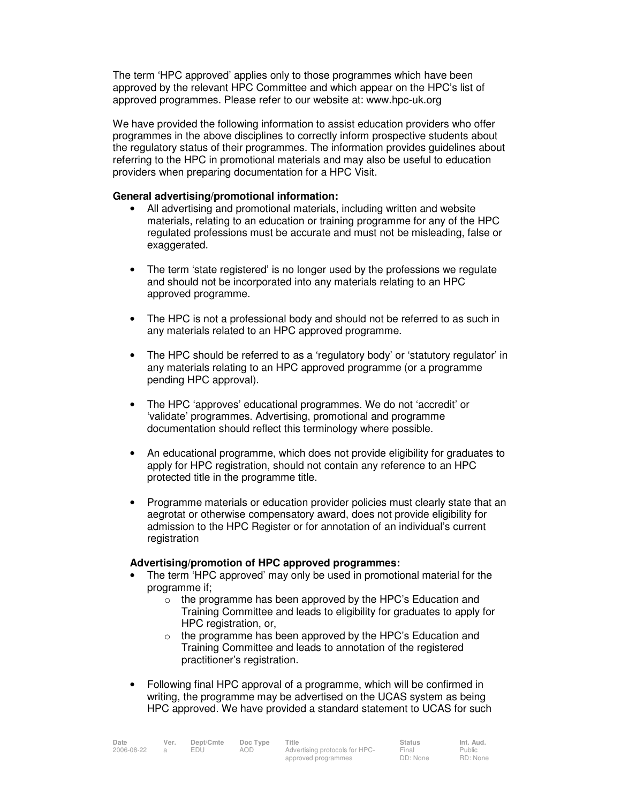The term 'HPC approved' applies only to those programmes which have been approved by the relevant HPC Committee and which appear on the HPC's list of approved programmes. Please refer to our website at: www.hpc-uk.org

We have provided the following information to assist education providers who offer programmes in the above disciplines to correctly inform prospective students about the regulatory status of their programmes. The information provides guidelines about referring to the HPC in promotional materials and may also be useful to education providers when preparing documentation for a HPC Visit.

### **General advertising/promotional information:**

- All advertising and promotional materials, including written and website materials, relating to an education or training programme for any of the HPC regulated professions must be accurate and must not be misleading, false or exaggerated.
- The term 'state registered' is no longer used by the professions we regulate and should not be incorporated into any materials relating to an HPC approved programme.
- The HPC is not a professional body and should not be referred to as such in any materials related to an HPC approved programme.
- The HPC should be referred to as a 'regulatory body' or 'statutory regulator' in any materials relating to an HPC approved programme (or a programme pending HPC approval).
- The HPC 'approves' educational programmes. We do not 'accredit' or 'validate' programmes. Advertising, promotional and programme documentation should reflect this terminology where possible.
- An educational programme, which does not provide eligibility for graduates to apply for HPC registration, should not contain any reference to an HPC protected title in the programme title.
- Programme materials or education provider policies must clearly state that an aegrotat or otherwise compensatory award, does not provide eligibility for admission to the HPC Register or for annotation of an individual's current registration

### **Advertising/promotion of HPC approved programmes:**

- The term 'HPC approved' may only be used in promotional material for the programme if;
	- o the programme has been approved by the HPC's Education and Training Committee and leads to eligibility for graduates to apply for HPC registration, or,
	- o the programme has been approved by the HPC's Education and Training Committee and leads to annotation of the registered practitioner's registration.
- Following final HPC approval of a programme, which will be confirmed in writing, the programme may be advertised on the UCAS system as being HPC approved. We have provided a standard statement to UCAS for such

| Date              | Ver. | Dept/Cmte | Doc Type            | Title                          | <b>Status</b> | Int. Aud. |
|-------------------|------|-----------|---------------------|--------------------------------|---------------|-----------|
| 2006-08-22<br>EDU |      |           | aod                 | Advertising protocols for HPC- | Final         | Public    |
|                   |      |           | approved programmes | DD: None                       | RD: None      |           |